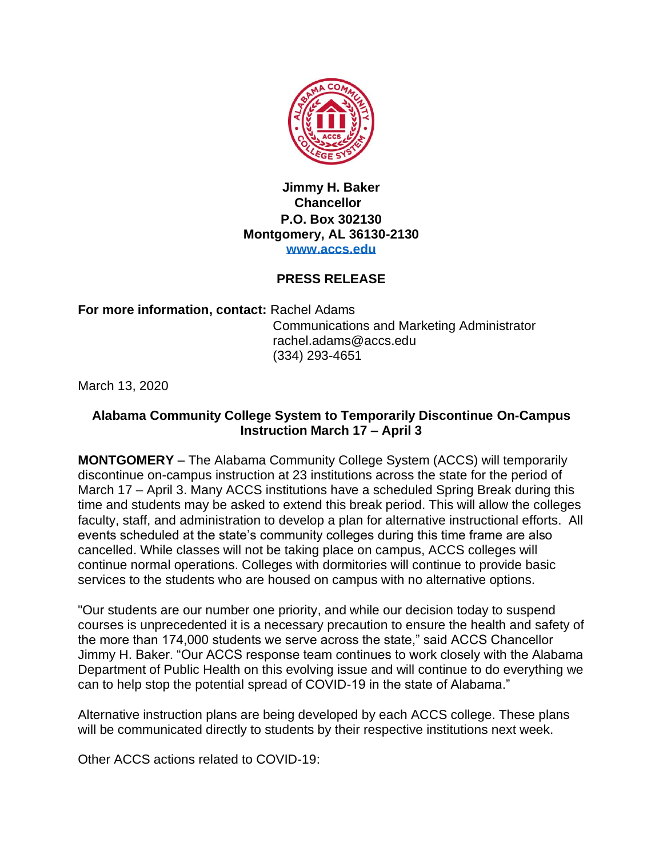

## **Jimmy H. Baker Chancellor P.O. Box 302130 Montgomery, AL 36130-2130 [www.accs.edu](http://www.accs.edu/)**

## **PRESS RELEASE**

**For more information, contact:** Rachel Adams

Communications and Marketing Administrator rachel.adams@accs.edu (334) 293-4651

March 13, 2020

## **Alabama Community College System to Temporarily Discontinue On-Campus Instruction March 17 – April 3**

**MONTGOMERY** – The Alabama Community College System (ACCS) will temporarily discontinue on-campus instruction at 23 institutions across the state for the period of March 17 – April 3. Many ACCS institutions have a scheduled Spring Break during this time and students may be asked to extend this break period. This will allow the colleges faculty, staff, and administration to develop a plan for alternative instructional efforts. All events scheduled at the state's community colleges during this time frame are also cancelled. While classes will not be taking place on campus, ACCS colleges will continue normal operations. Colleges with dormitories will continue to provide basic services to the students who are housed on campus with no alternative options.

"Our students are our number one priority, and while our decision today to suspend courses is unprecedented it is a necessary precaution to ensure the health and safety of the more than 174,000 students we serve across the state," said ACCS Chancellor Jimmy H. Baker. "Our ACCS response team continues to work closely with the Alabama Department of Public Health on this evolving issue and will continue to do everything we can to help stop the potential spread of COVID-19 in the state of Alabama."

Alternative instruction plans are being developed by each ACCS college. These plans will be communicated directly to students by their respective institutions next week.

Other ACCS actions related to COVID-19: